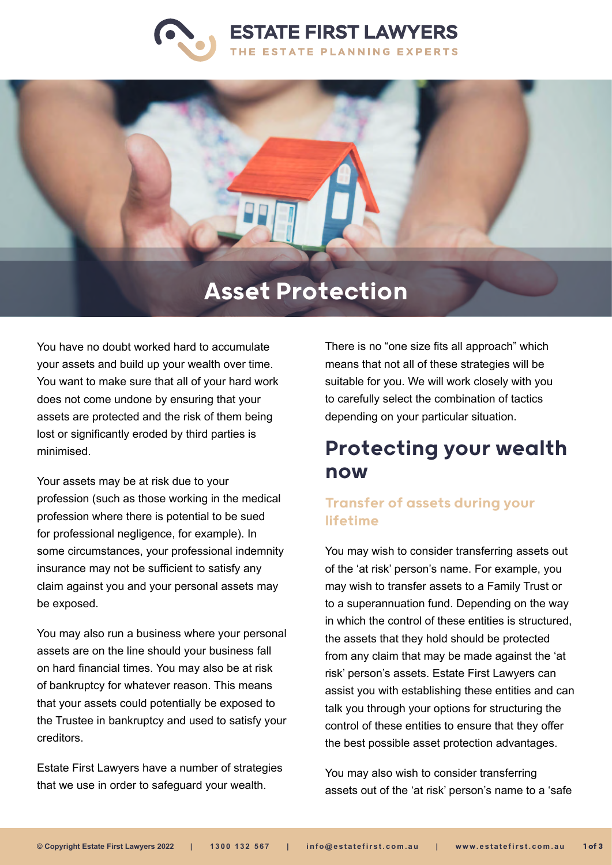



# Asset Protection

You have no doubt worked hard to accumulate your assets and build up your wealth over time. You want to make sure that all of your hard work does not come undone by ensuring that your assets are protected and the risk of them being lost or significantly eroded by third parties is minimised.

Your assets may be at risk due to your profession (such as those working in the medical profession where there is potential to be sued for professional negligence, for example). In some circumstances, your professional indemnity insurance may not be sufficient to satisfy any claim against you and your personal assets may be exposed.

You may also run a business where your personal assets are on the line should your business fall on hard financial times. You may also be at risk of bankruptcy for whatever reason. This means that your assets could potentially be exposed to the Trustee in bankruptcy and used to satisfy your creditors.

Estate First Lawyers have a number of strategies that we use in order to safeguard your wealth.

There is no "one size fits all approach" which means that not all of these strategies will be suitable for you. We will work closely with you to carefully select the combination of tactics depending on your particular situation.

## Protecting your wealth now

### Transfer of assets during your lifetime

You may wish to consider transferring assets out of the 'at risk' person's name. For example, you may wish to transfer assets to a Family Trust or to a superannuation fund. Depending on the way in which the control of these entities is structured, the assets that they hold should be protected from any claim that may be made against the 'at risk' person's assets. Estate First Lawyers can assist you with establishing these entities and can talk you through your options for structuring the control of these entities to ensure that they offer the best possible asset protection advantages.

You may also wish to consider transferring assets out of the 'at risk' person's name to a 'safe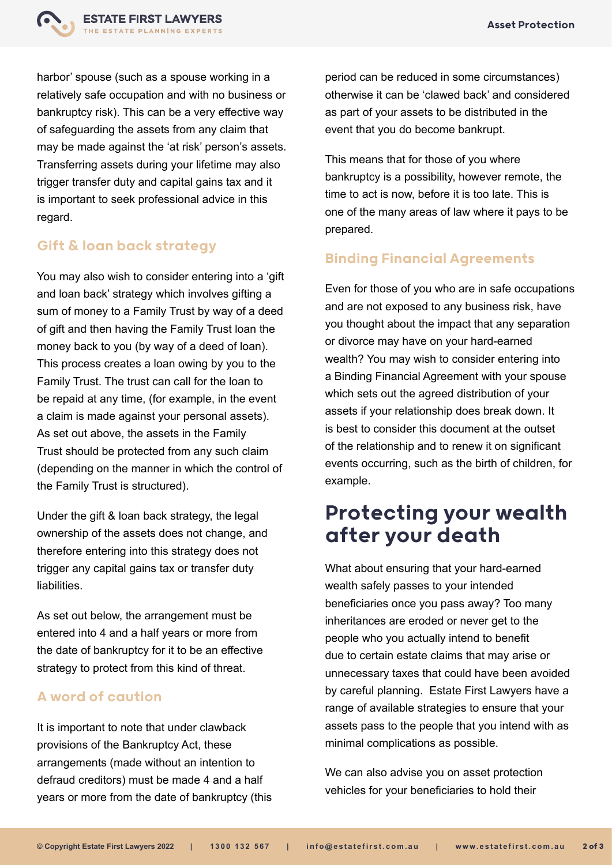

harbor' spouse (such as a spouse working in a relatively safe occupation and with no business or bankruptcy risk). This can be a very effective way of safeguarding the assets from any claim that may be made against the 'at risk' person's assets. Transferring assets during your lifetime may also trigger transfer duty and capital gains tax and it is important to seek professional advice in this regard.

#### Gift & loan back strategy

You may also wish to consider entering into a 'gift and loan back' strategy which involves gifting a sum of money to a Family Trust by way of a deed of gift and then having the Family Trust loan the money back to you (by way of a deed of loan). This process creates a loan owing by you to the Family Trust. The trust can call for the loan to be repaid at any time, (for example, in the event a claim is made against your personal assets). As set out above, the assets in the Family Trust should be protected from any such claim (depending on the manner in which the control of the Family Trust is structured).

Under the gift & loan back strategy, the legal ownership of the assets does not change, and therefore entering into this strategy does not trigger any capital gains tax or transfer duty liabilities.

As set out below, the arrangement must be entered into 4 and a half years or more from the date of bankruptcy for it to be an effective strategy to protect from this kind of threat.

#### A word of caution

It is important to note that under clawback provisions of the Bankruptcy Act, these arrangements (made without an intention to defraud creditors) must be made 4 and a half years or more from the date of bankruptcy (this period can be reduced in some circumstances) otherwise it can be 'clawed back' and considered as part of your assets to be distributed in the event that you do become bankrupt.

This means that for those of you where bankruptcy is a possibility, however remote, the time to act is now, before it is too late. This is one of the many areas of law where it pays to be prepared.

#### Binding Financial Agreements

Even for those of you who are in safe occupations and are not exposed to any business risk, have you thought about the impact that any separation or divorce may have on your hard-earned wealth? You may wish to consider entering into a Binding Financial Agreement with your spouse which sets out the agreed distribution of your assets if your relationship does break down. It is best to consider this document at the outset of the relationship and to renew it on significant events occurring, such as the birth of children, for example.

### Protecting your wealth after your death

What about ensuring that your hard-earned wealth safely passes to your intended beneficiaries once you pass away? Too many inheritances are eroded or never get to the people who you actually intend to benefit due to certain estate claims that may arise or unnecessary taxes that could have been avoided by careful planning. Estate First Lawyers have a range of available strategies to ensure that your assets pass to the people that you intend with as minimal complications as possible.

We can also advise you on asset protection vehicles for your beneficiaries to hold their